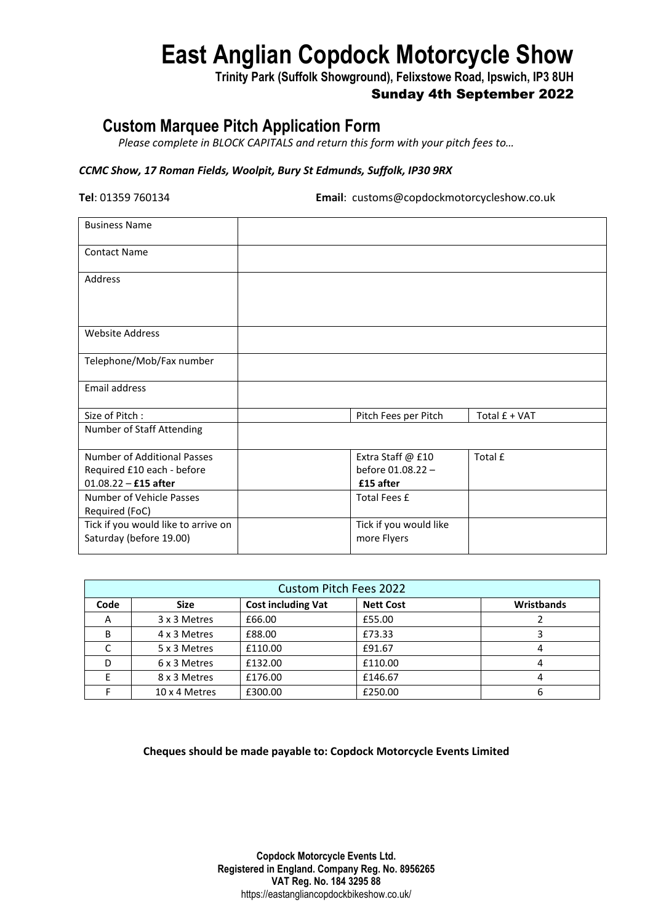# **East Anglian Copdock Motorcycle Show**

**Trinity Park (Suffolk Showground), Felixstowe Road, Ipswich, IP3 8UH**

### Sunday 4th September 2022

## **Custom Marquee Pitch Application Form**

*Please complete in BLOCK CAPITALS and return this form with your pitch fees to…*

#### *CCMC Show, 17 Roman Fields, Woolpit, Bury St Edmunds, Suffolk, IP30 9RX*

**Tel**: 01359 760134 **Email**: customs@copdockmotorcycleshow.co.uk

| <b>Business Name</b>                                           |                                       |               |
|----------------------------------------------------------------|---------------------------------------|---------------|
| <b>Contact Name</b>                                            |                                       |               |
| Address                                                        |                                       |               |
| <b>Website Address</b>                                         |                                       |               |
| Telephone/Mob/Fax number                                       |                                       |               |
| Email address                                                  |                                       |               |
| Size of Pitch:                                                 | Pitch Fees per Pitch                  | Total £ + VAT |
| Number of Staff Attending                                      |                                       |               |
| Number of Additional Passes                                    | Extra Staff @ £10                     | Total £       |
| Required £10 each - before                                     | before 01.08.22 -                     |               |
| $01.08.22 - £15$ after                                         | £15 after                             |               |
| Number of Vehicle Passes<br>Required (FoC)                     | Total Fees £                          |               |
| Tick if you would like to arrive on<br>Saturday (before 19.00) | Tick if you would like<br>more Flyers |               |

| <b>Custom Pitch Fees 2022</b> |               |                           |                  |            |  |  |  |  |
|-------------------------------|---------------|---------------------------|------------------|------------|--|--|--|--|
| Code                          | <b>Size</b>   | <b>Cost including Vat</b> | <b>Nett Cost</b> | Wristbands |  |  |  |  |
| A                             | 3 x 3 Metres  | £66.00                    | £55.00           |            |  |  |  |  |
| B                             | 4 x 3 Metres  | £88.00                    | £73.33           |            |  |  |  |  |
|                               | 5 x 3 Metres  | £110.00                   | £91.67           |            |  |  |  |  |
|                               | 6 x 3 Metres  | £132.00                   | £110.00          |            |  |  |  |  |
|                               | 8 x 3 Metres  | £176.00                   | £146.67          |            |  |  |  |  |
|                               | 10 x 4 Metres | £300.00                   | £250.00          |            |  |  |  |  |

#### **Cheques should be made payable to: Copdock Motorcycle Events Limited**